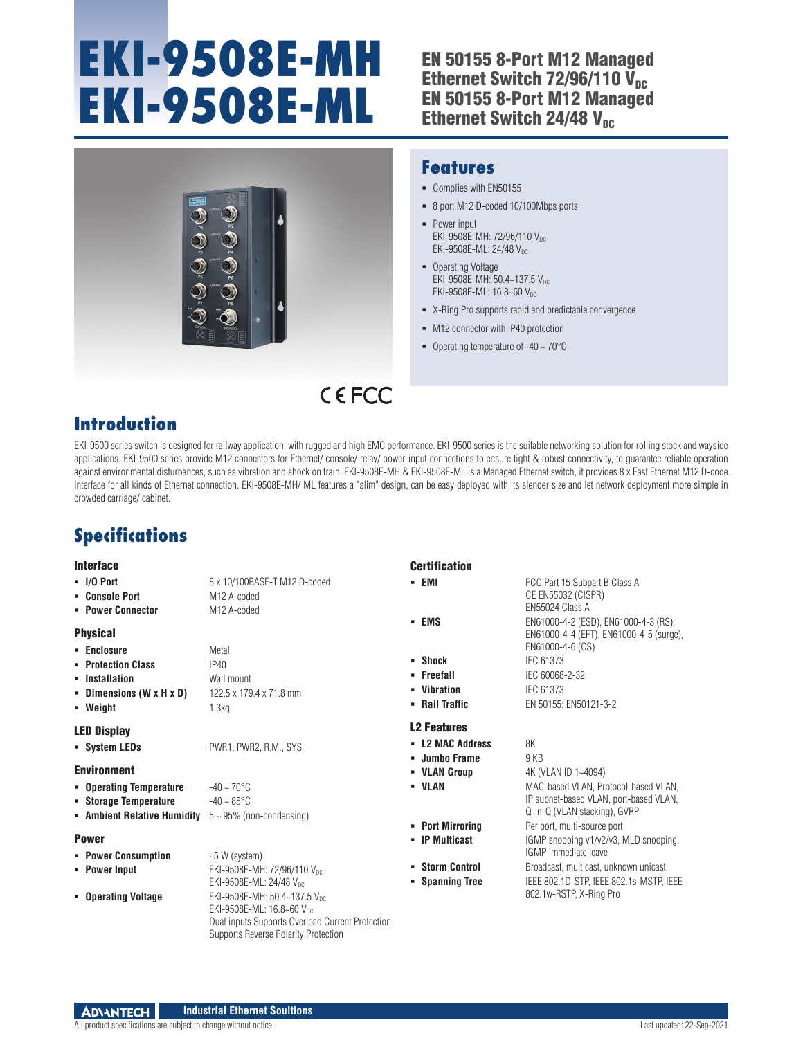# **EKI-9508E-MH EKI-9508E-ML**

## EN 50155 8-Port M12 Managed Ethernet Switch  $72/96/110$  V<sub>nc</sub> EN 50155 8-Port M12 Managed Ethernet Switch 24/48  $V_{nc}$



### **Features**

- Complies with EN50155
- 8 port M12 D-coded 10/100Mbps ports
- Power input EKI-9508E-MH: 72/96/110 VDC EKI-9508E-ML: 24/48 V<sub>DC</sub>
- Operating Voltage EKI-9508E-MH: 50.4~137.5 V<sub>DC</sub> EKI-9508E-ML: 16.8~60 Vpc
- X-Ring Pro supports rapid and predictable convergence
- $-M12$  connector with IP40 protection
- Operating temperature of  $-40 \sim 70^{\circ}$ C

## CEFCC

## **Introduction**

EKI-9500 series switch is designed for railway application, with rugged and high EMC performance. EKI-9500 series is the suitable networking solution for rolling stock and wayside applications. EKI-9500 series provide M12 connectors for Ethernet/ console/ relay/ power-input connections to ensure tight & robust connectivity, to guarantee reliable operation against environmental disturbances, such as vibration and shock on train. EKI-9508E-MH & EKI-9508E-ML is a Managed Ethernet switch, it provides 8 x Fast Ethernet M12 D-code interface for all kinds of Ethernet connection. EKI-9508E-MH/ ML features a "slim" design, can be easy deployed with its slender size and let network deployment more simple in crowded carriage/ cabinet.

## **Specifications**

#### **Interface**

#### **I/O Port** 8 x 10/100BASE-T M12 D-coded

- **Console Port** M12 A-coded
- **Power Connector** M12 A-coded

#### Physical

| • Enclosure                          | Metal                   |
|--------------------------------------|-------------------------|
| • Protection Class                   | IP40                    |
| • Installation                       | Wall mount              |
| - Dimensions $(W \times H \times D)$ | 122.5 x 179.4 x 71.8 mm |

**Weight** 1.3kg

#### LED Display

**System LEDs** PWR1, PWR2, R.M., SYS

#### Environment

- **Operating Temperature** -40 ~ 70°C **Storage Temperature**  $-40 \sim 85^{\circ}$ C
- **Ambient Relative Humidity** 5 ~ 95% (non-condensing)

#### Power

- **Power Consumption**  $\sim$  5 W (system)
- **Power Input** EKI-9508E-MH: 72/96/110 V<sub>DC</sub>
- EKI-9508E-ML: 24/48 VDC **Derating Voltage** EKI-9508E-MH: 50.4~137.5 V<sub>DC</sub> EKI-9508E-ML: 16.8~60 VDC Dual inputs Supports Overload Current Protection

Supports Reverse Polarity Protection

**Certification** 

**EMI** FCC Part 15 Subpart B Class A **EMS** EN61000-4-2 (ESD), EN61000-4-3 (RS),

**Shock** IEC 61373 **Freefall** IEC 60068-2-32

- **Vibration** IEC 61373
- **Rail Traffic** EN 50155; EN50121-3-2

#### L2 Features

- **L2 MAC Address** 8K **Jumbo Frame** 9 KB
- 
- 
- 
- 
- 
- 

**• VLAN Group** 4K (VLAN ID 1~4094) **VLAN** MAC-based VLAN, Protocol-based VLAN, IP subnet-based VLAN, port-based VLAN, Q-in-Q (VLAN stacking), GVRP **Port Mirroring** Per port, multi-source port **IP Multicast** IGMP snooping v1/v2/v3, MLD snooping, IGMP immediate leave **Storm Control** Broadcast, multicast, unknown unicast **Spanning Tree** IEEE 802.1D-STP, IEEE 802.1s-MSTP, IEEE 802.1w-RSTP, X-Ring Pro

EN61000-4-4 (EFT), EN61000-4-5 (surge),

CE EN55032 (CISPR) EN55024 Class A

EN61000-4-6 (CS)